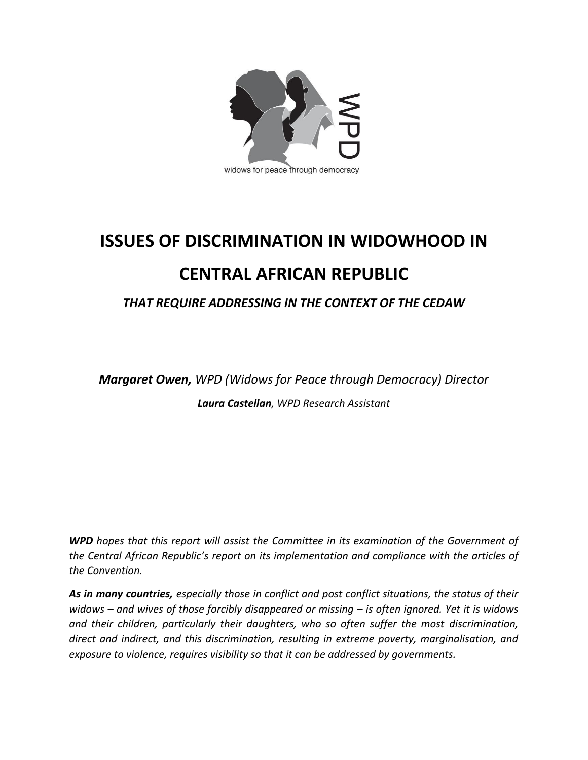

## **ISSUES OF DISCRIMINATION IN WIDOWHOOD IN CENTRAL AFRICAN REPUBLIC**

## *THAT REQUIRE ADDRESSING IN THE CONTEXT OF THE CEDAW*

*Margaret Owen, WPD (Widows for Peace through Democracy) Director Laura Castellan, WPD Research Assistant*

*WPD hopes that this report will assist the Committee in its examination of the Government of the Central African Republic's report on its implementation and compliance with the articles of the Convention.*

*As in many countries, especially those in conflict and post conflict situations, the status of their widows – and wives of those forcibly disappeared or missing – is often ignored. Yet it is widows and their children, particularly their daughters, who so often suffer the most discrimination, direct and indirect, and this discrimination, resulting in extreme poverty, marginalisation, and exposure to violence, requires visibility so that it can be addressed by governments.*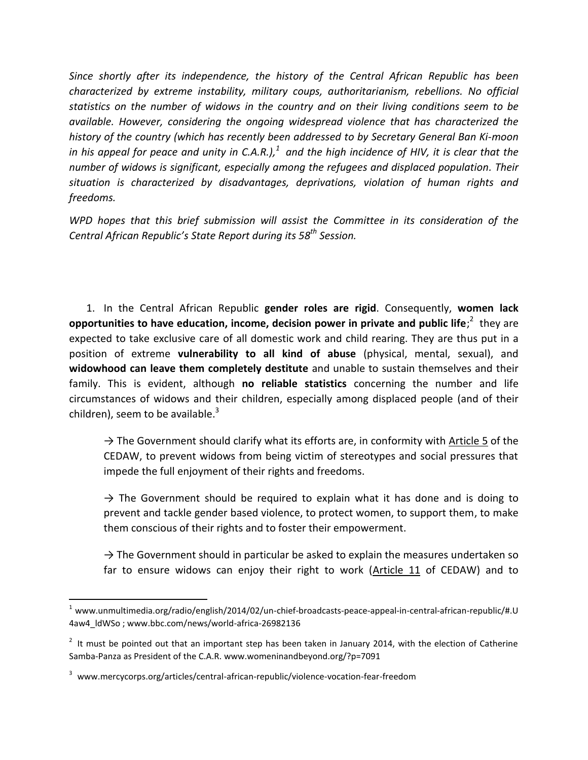*Since shortly after its independence, the history of the Central African Republic has been characterized by extreme instability, military coups, authoritarianism, rebellions. No official statistics on the number of widows in the country and on their living conditions seem to be available. However, considering the ongoing widespread violence that has characterized the history of the country (which has recently been addressed to by Secretary General Ban Ki-moon in his appeal for peace and unity in C.A.R.), 1 and the high incidence of HIV, it is clear that the number of widows is significant, especially among the refugees and displaced population. Their situation is characterized by disadvantages, deprivations, violation of human rights and freedoms.*

*WPD hopes that this brief submission will assist the Committee in its consideration of the Central African Republic's State Report during its 58 th Session.*

1. In the Central African Republic **gender roles are rigid**. Consequently, **women lack opportunities to have education, income, decision power in private and public life;<sup>2</sup> they are** expected to take exclusive care of all domestic work and child rearing. They are thus put in a position of extreme **vulnerability to all kind of abuse** (physical, mental, sexual), and **widowhood can leave them completely destitute** and unable to sustain themselves and their family. This is evident, although **no reliable statistics** concerning the number and life circumstances of widows and their children, especially among displaced people (and of their children), seem to be available.<sup>3</sup>

 $\rightarrow$  The Government should clarify what its efforts are, in conformity with Article 5 of the CEDAW, to prevent widows from being victim of stereotypes and social pressures that impede the full enjoyment of their rights and freedoms.

 $\rightarrow$  The Government should be required to explain what it has done and is doing to prevent and tackle gender based violence, to protect women, to support them, to make them conscious of their rights and to foster their empowerment.

 $\rightarrow$  The Government should in particular be asked to explain the measures undertaken so far to ensure widows can enjoy their right to work (Article 11 of CEDAW) and to

 $\overline{\phantom{a}}$ 

 $1$  www.unmultimedia.org/radio/english/2014/02/un-chief-broadcasts-peace-appeal-in-central-african-republic/#.U 4aw4\_ldWSo ; www.bbc.com/news/world-africa-26982136

 $2$  It must be pointed out that an important step has been taken in January 2014, with the election of Catherine Samba-Panza as President of the C.A.R. www.womeninandbeyond.org/?p=7091

<sup>3</sup> www.mercycorps.org/articles/central-african-republic/violence-vocation-fear-freedom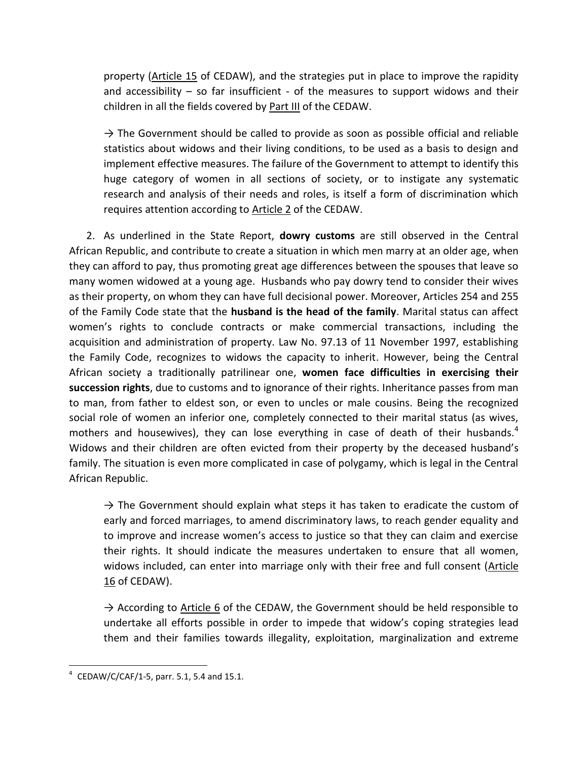property (Article 15 of CEDAW), and the strategies put in place to improve the rapidity and accessibility  $-$  so far insufficient  $-$  of the measures to support widows and their children in all the fields covered by Part III of the CEDAW.

 $\rightarrow$  The Government should be called to provide as soon as possible official and reliable statistics about widows and their living conditions, to be used as a basis to design and implement effective measures. The failure of the Government to attempt to identify this huge category of women in all sections of society, or to instigate any systematic research and analysis of their needs and roles, is itself a form of discrimination which requires attention according to Article 2 of the CEDAW.

2. As underlined in the State Report, **dowry customs** are still observed in the Central African Republic, and contribute to create a situation in which men marry at an older age, when they can afford to pay, thus promoting great age differences between the spouses that leave so many women widowed at a young age. Husbands who pay dowry tend to consider their wives as their property, on whom they can have full decisional power. Moreover, Articles 254 and 255 of the Family Code state that the **husband is the head of the family**. Marital status can affect women's rights to conclude contracts or make commercial transactions, including the acquisition and administration of property. Law No. 97.13 of 11 November 1997, establishing the Family Code, recognizes to widows the capacity to inherit. However, being the Central African society a traditionally patrilinear one, **women face difficulties in exercising their succession rights**, due to customs and to ignorance of their rights. Inheritance passes from man to man, from father to eldest son, or even to uncles or male cousins. Being the recognized social role of women an inferior one, completely connected to their marital status (as wives, mothers and housewives), they can lose everything in case of death of their husbands. $4$ Widows and their children are often evicted from their property by the deceased husband's family. The situation is even more complicated in case of polygamy, which is legal in the Central African Republic.

 $\rightarrow$  The Government should explain what steps it has taken to eradicate the custom of early and forced marriages, to amend discriminatory laws, to reach gender equality and to improve and increase women's access to justice so that they can claim and exercise their rights. It should indicate the measures undertaken to ensure that all women, widows included, can enter into marriage only with their free and full consent (Article 16 of CEDAW).

 $\rightarrow$  According to Article 6 of the CEDAW, the Government should be held responsible to undertake all efforts possible in order to impede that widow's coping strategies lead them and their families towards illegality, exploitation, marginalization and extreme

 4 CEDAW/C/CAF/1-5, parr. 5.1, 5.4 and 15.1.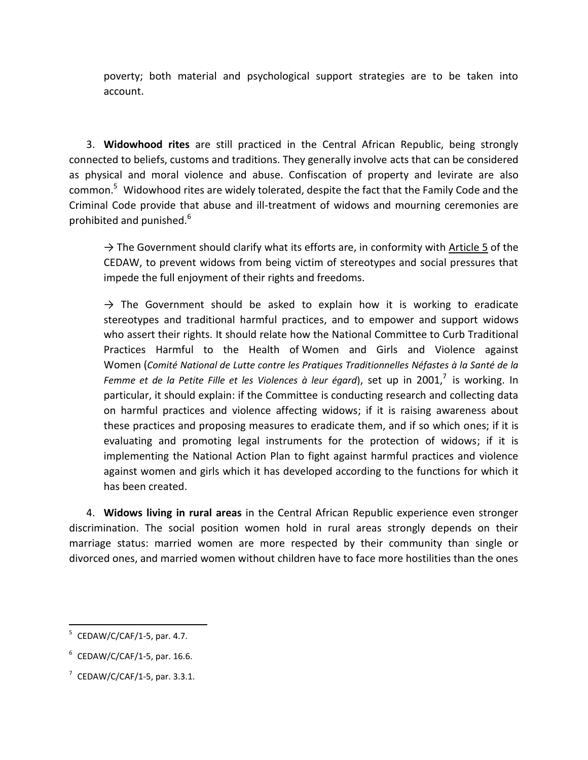poverty; both material and psychological support strategies are to be taken into account.

3. **Widowhood rites** are still practiced in the Central African Republic, being strongly connected to beliefs, customs and traditions. They generally involve acts that can be considered as physical and moral violence and abuse. Confiscation of property and levirate are also common.<sup>5</sup> Widowhood rites are widely tolerated, despite the fact that the Family Code and the Criminal Code provide that abuse and ill-treatment of widows and mourning ceremonies are prohibited and punished.<sup>6</sup>

 $\rightarrow$  The Government should clarify what its efforts are, in conformity with Article 5 of the CEDAW, to prevent widows from being victim of stereotypes and social pressures that impede the full enjoyment of their rights and freedoms.

 $\rightarrow$  The Government should be asked to explain how it is working to eradicate stereotypes and traditional harmful practices, and to empower and support widows who assert their rights. It should relate how the National Committee to Curb Traditional Practices Harmful to the Health of Women and Girls and Violence against Women (*Comité National de Lutte contre les Pratiques Traditionnelles Néfastes à la Santé de la*  Femme et de la Petite Fille et les Violences à leur égard), set up in 2001,<sup>7</sup> is working. In particular, it should explain: if the Committee is conducting research and collecting data on harmful practices and violence affecting widows; if it is raising awareness about these practices and proposing measures to eradicate them, and if so which ones; if it is evaluating and promoting legal instruments for the protection of widows; if it is implementing the National Action Plan to fight against harmful practices and violence against women and girls which it has developed according to the functions for which it has been created.

4. **Widows living in rural areas** in the Central African Republic experience even stronger discrimination. The social position women hold in rural areas strongly depends on their marriage status: married women are more respected by their community than single or divorced ones, and married women without children have to face more hostilities than the ones

<sup>-&</sup>lt;br><sup>5</sup> CEDAW/C/CAF/1-5, par. 4.7.

 $6$  CEDAW/C/CAF/1-5, par. 16.6.

 $7$  CEDAW/C/CAF/1-5, par. 3.3.1.